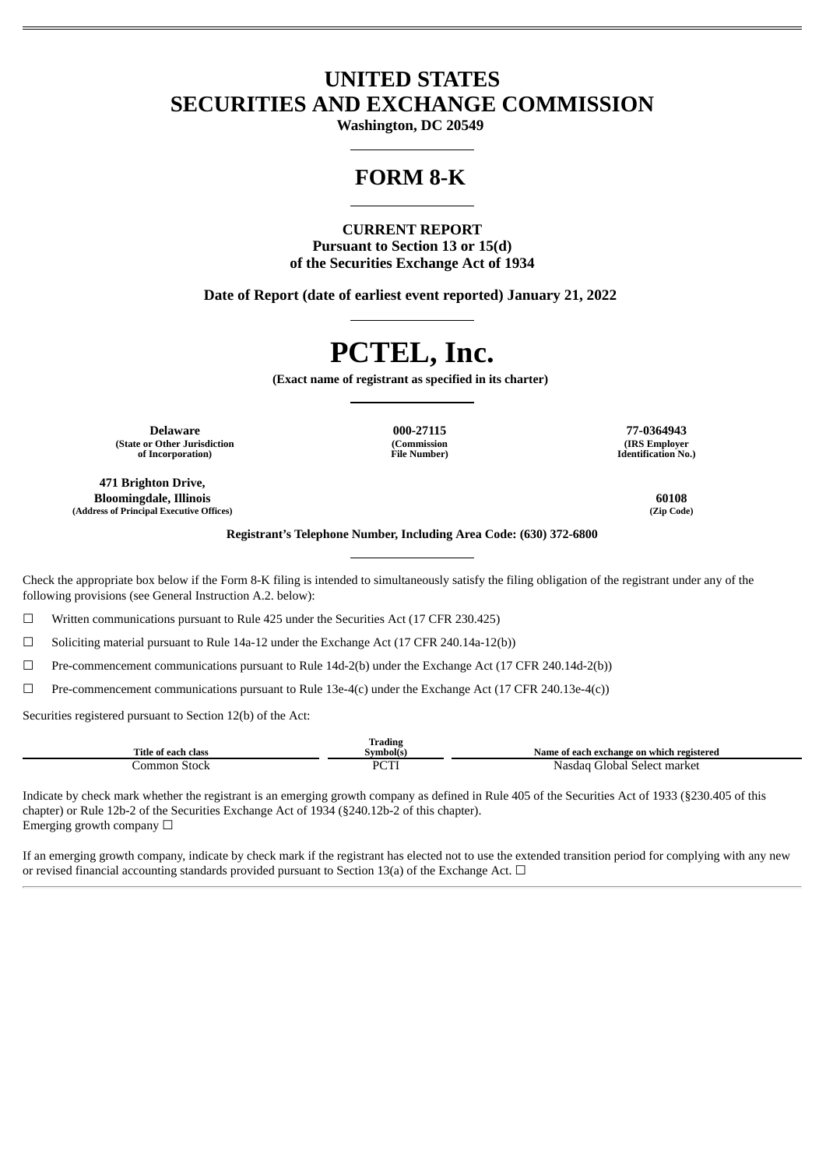## **UNITED STATES SECURITIES AND EXCHANGE COMMISSION**

**Washington, DC 20549**

## **FORM 8-K**

**CURRENT REPORT Pursuant to Section 13 or 15(d) of the Securities Exchange Act of 1934**

**Date of Report (date of earliest event reported) January 21, 2022**

# **PCTEL, Inc.**

**(Exact name of registrant as specified in its charter)**

**Delaware 000-27115 77-0364943 (State or Other Jurisdiction of Incorporation)**

**471 Brighton Drive, Bloomingdale, Illinois 60108 (Address of Principal Executive Offices) (Zip Code)**

**(Commission File Number)**

**(IRS Employer Identification No.)**

**Registrant's Telephone Number, Including Area Code: (630) 372-6800**

Check the appropriate box below if the Form 8-K filing is intended to simultaneously satisfy the filing obligation of the registrant under any of the following provisions (see General Instruction A.2. below):

 $\Box$  Written communications pursuant to Rule 425 under the Securities Act (17 CFR 230.425)

☐ Soliciting material pursuant to Rule 14a-12 under the Exchange Act (17 CFR 240.14a-12(b))

 $\Box$  Pre-commencement communications pursuant to Rule 14d-2(b) under the Exchange Act (17 CFR 240.14d-2(b))

☐ Pre-commencement communications pursuant to Rule 13e-4(c) under the Exchange Act (17 CFR 240.13e-4(c))

Securities registered pursuant to Section 12(b) of the Act:

|                              | m.<br>trading<br>. |                                              |
|------------------------------|--------------------|----------------------------------------------|
| Title of<br>class<br>≅each . | ≅vmbol(s.          | Name of each exchange on which registered    |
| ommon<br>stock<br>- - - -    | DCT<br>◡           | Select market<br><b>Flobal</b><br>Nasda<br>. |

Indicate by check mark whether the registrant is an emerging growth company as defined in Rule 405 of the Securities Act of 1933 (§230.405 of this chapter) or Rule 12b-2 of the Securities Exchange Act of 1934 (§240.12b-2 of this chapter). Emerging growth company  $\Box$ 

If an emerging growth company, indicate by check mark if the registrant has elected not to use the extended transition period for complying with any new or revised financial accounting standards provided pursuant to Section 13(a) of the Exchange Act.  $\Box$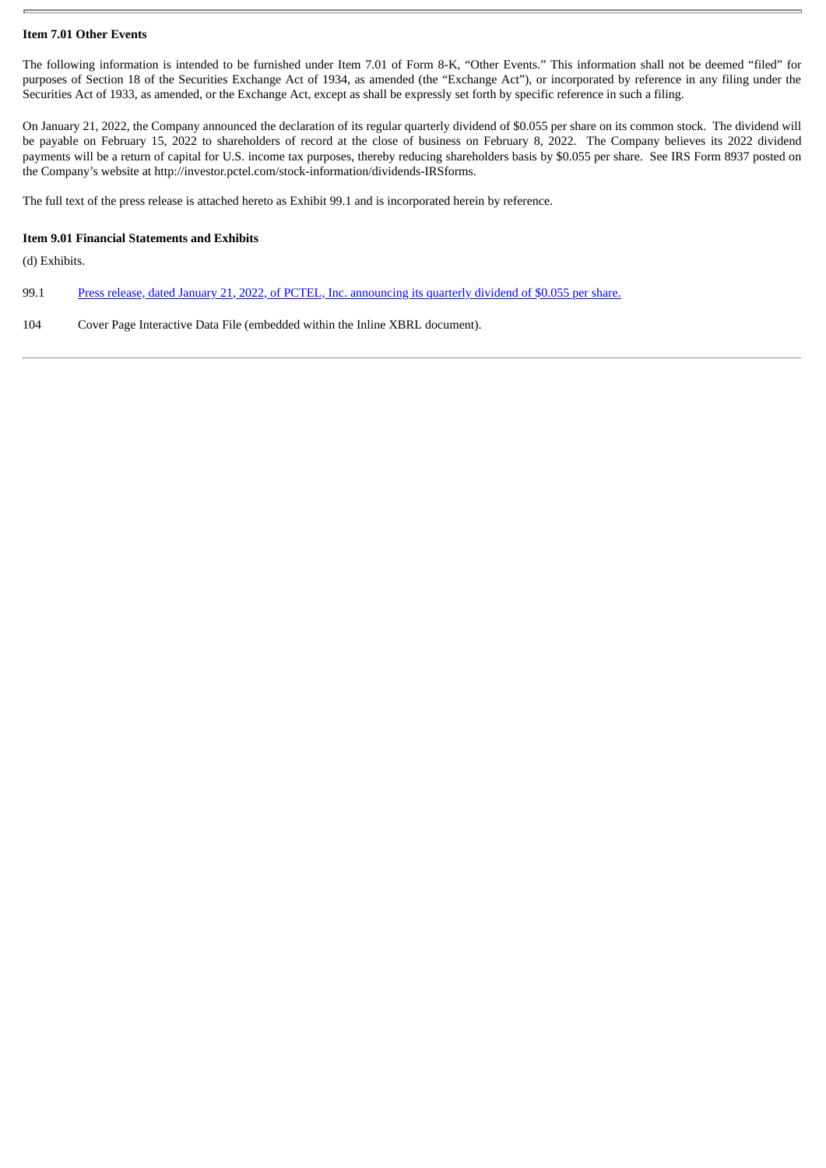#### **Item 7.01 Other Events**

The following information is intended to be furnished under Item 7.01 of Form 8-K, "Other Events." This information shall not be deemed "filed" for purposes of Section 18 of the Securities Exchange Act of 1934, as amended (the "Exchange Act"), or incorporated by reference in any filing under the Securities Act of 1933, as amended, or the Exchange Act, except as shall be expressly set forth by specific reference in such a filing.

On January 21, 2022, the Company announced the declaration of its regular quarterly dividend of \$0.055 per share on its common stock. The dividend will be payable on February 15, 2022 to shareholders of record at the close of business on February 8, 2022. The Company believes its 2022 dividend payments will be a return of capital for U.S. income tax purposes, thereby reducing shareholders basis by \$0.055 per share. See IRS Form 8937 posted on the Company's website at http://investor.pctel.com/stock-information/dividends-IRSforms.

The full text of the press release is attached hereto as Exhibit 99.1 and is incorporated herein by reference.

#### **Item 9.01 Financial Statements and Exhibits**

(d) Exhibits.

- 99.1 Press release, dated January 21, 2022, of PCTEL, Inc. [announcing](#page-3-0) its quarterly dividend of \$0.055 per share.
- 104 Cover Page Interactive Data File (embedded within the Inline XBRL document).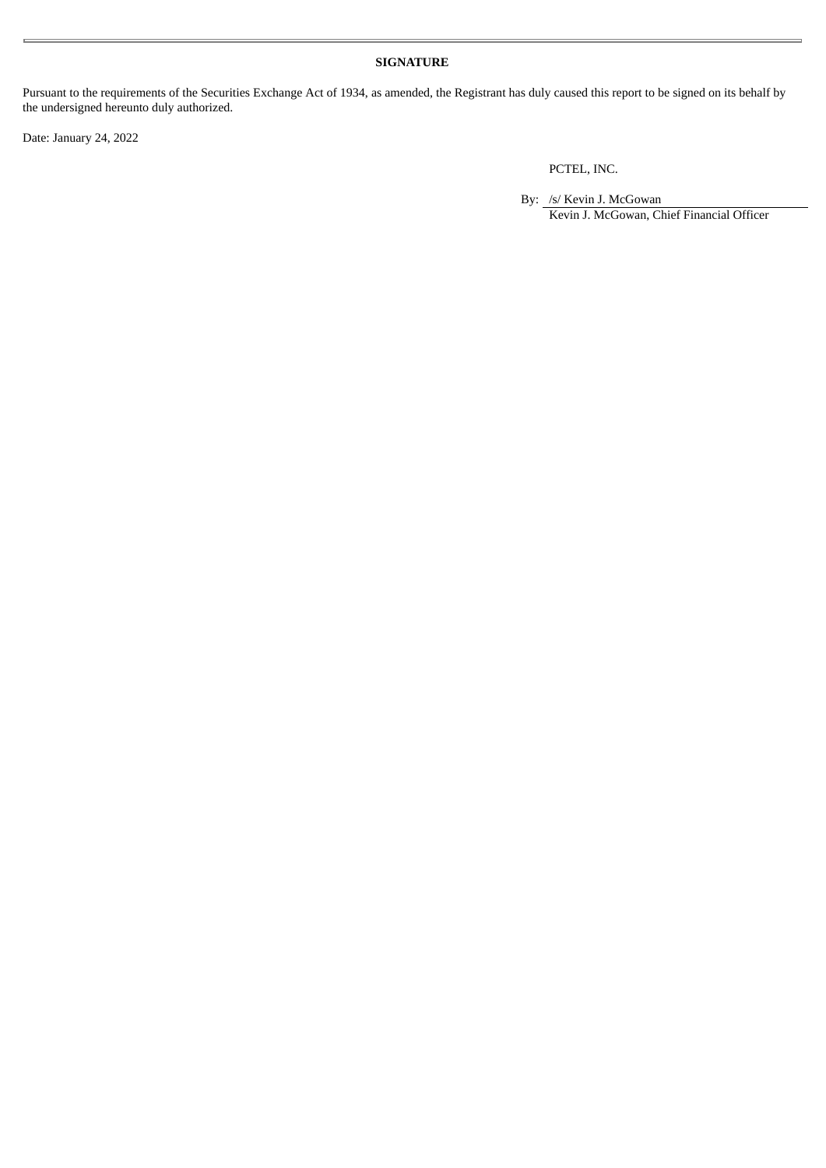#### **SIGNATURE**

Pursuant to the requirements of the Securities Exchange Act of 1934, as amended, the Registrant has duly caused this report to be signed on its behalf by the undersigned hereunto duly authorized.

Date: January 24, 2022

PCTEL, INC.

By: /s/ Kevin J. McGowan Kevin J. McGowan, Chief Financial Officer